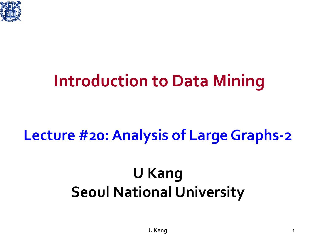

### **Introduction to Data Mining**

### **Lecture #20: Analysis of Large Graphs-2**

### **U Kang Seoul National University**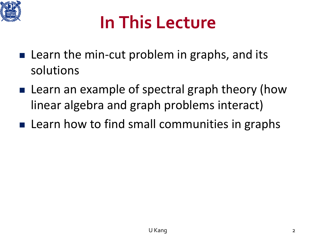

### **In This Lecture**

- **Learn the min-cut problem in graphs, and its** solutions
- Learn an example of spectral graph theory (how linear algebra and graph problems interact)
- **Example 2 ID:** Learn how to find small communities in graphs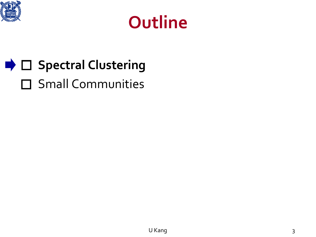



### **■ Clustering** □ Small Communities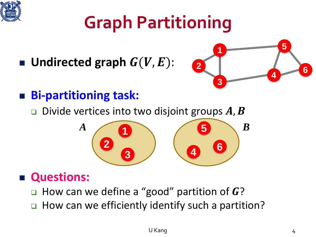

## **Graph Partitioning**

Undirected graph  $G(V, E)$ :



**5**

**<sup>4</sup> <sup>6</sup>**

#### **Bi-partitioning task:**

**Divide vertices into two disjoint groups A, B** 

**1**

**2**

**3**

#### **Questions:**

- $\Box$  How can we define a "good" partition of G?
- How can we efficiently identify such a partition?

*A B B B*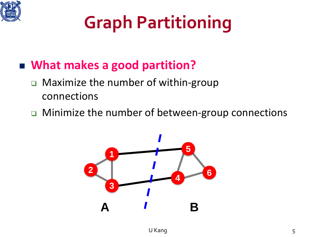

# **Graph Partitioning**

#### **What makes a good partition?**

- □ Maximize the number of within-group connections
- □ Minimize the number of between-group connections

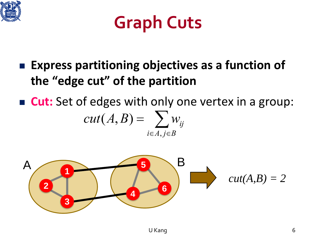



- **Express partitioning objectives as a function of the "edge cut" of the partition**
- **Cut:** Set of edges with only one vertex in a group:  $cut(A, B) = \sum w_{ii}$  $i \in A, j \in B$

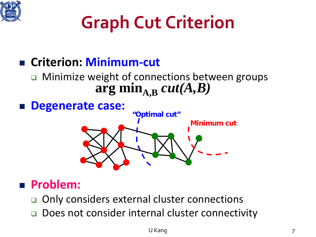

## **Graph Cut Criterion**

#### **Criterion: Minimum-cut**

#### □ Minimize weight of connections between groups  $\arg \min_{A,B} cut(A,B)$



#### **Problem:**

- □ Only considers external cluster connections
- Does not consider internal cluster connectivity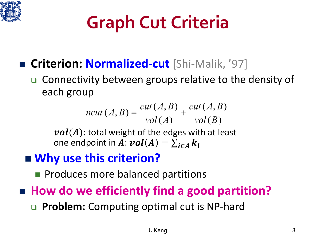

## **Graph Cut Criteria**

- **Criterion: Normalized-cut** [Shi-Malik, '97]
	- Connectivity between groups relative to the density of each group

$$
ncut(A, B) = \frac{cut(A, B)}{vol(A)} + \frac{cut(A, B)}{vol(B)}
$$

 $vol(A)$ : total weight of the edges with at least one endpoint in  $A: vol(A) = \sum_{i \in A} k_i$ 

#### **Why use this criterion?**

- **Produces more balanced partitions**
- How do we efficiently find a good partition?
	- **Problem:** Computing optimal cut is NP-hard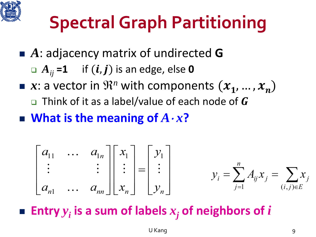

## **Spectral Graph Partitioning**

- **A**: adjacency matrix of undirected **G** 
	- $\Box A_{ij}$  =1 if  $(i, j)$  is an edge, else 0
- $\blacksquare$  *x*: a vector in  $\mathbb{R}^n$  with components  $(x_1, ..., x_n)$  $\Box$  Think of it as a label/value of each node of G
- **What is the meaning of** *A*<sup>⋅</sup> *x***?**

$$
\begin{bmatrix} a_{11} & \dots & a_{1n} \\ \vdots & & \vdots \\ a_{n1} & \dots & a_{nn} \end{bmatrix} \begin{bmatrix} x_1 \\ \vdots \\ x_n \end{bmatrix} = \begin{bmatrix} y_1 \\ \vdots \\ y_n \end{bmatrix} \qquad y_i = \sum_{j=1}^n A_{ij} x_j = \sum_{(i,j)\in E} x_j
$$

**Entry**  $y_i$  is a sum of labels  $x_i$  of neighbors of *i*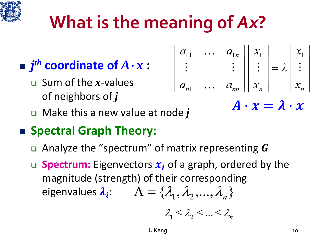## **What is the meaning of** *Ax***?**

$$
\blacksquare j^{th} \textbf{ coordinate of } A \cdot x:
$$

- Sum of the *x*-values of neighbors of *j*
- Make this a new value at node *j*

### **Spectral Graph Theory:**

- **Q** Analyze the "spectrum" of matrix representing  $\boldsymbol{G}$
- **Spectrum:** Eigenvectors  $x_i$  of a graph, ordered by the magnitude (strength) of their corresponding eigenvalues  $\lambda_i$ :  $\Lambda = {\lambda_1, \lambda_2, ..., \lambda_k}$

$$
\lambda_1 \leq \lambda_2 \leq \ldots \leq \lambda_n
$$

 $A \cdot x = \lambda \cdot x$ 

 $\begin{bmatrix} a_{11} & \dots & a_{1n} \\ \vdots & & \vdots \\ a_{n1} & \dots & a_{nn} \end{bmatrix} \begin{bmatrix} x_1 \\ \vdots \\ x_n \end{bmatrix} = \lambda \begin{bmatrix} x_1 \\ \vdots \\ x_n \end{bmatrix}$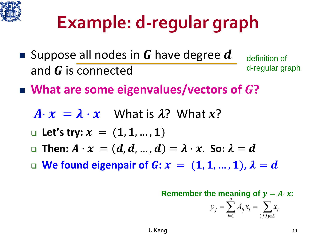

## **Example: d-regular graph**

- **Suppose all nodes in G have degree d** and  *is connected* definition of d-regular graph
- $\blacksquare$  What are some eigenvalues/vectors of G?
	- $A \cdot x = \lambda \cdot x$  What is  $\lambda$ ? What  $x$ ?
	- **Let's try:**  $x = (1, 1, ..., 1)$
	- **Then:**  $A \cdot x = (d, d, ..., d) = \lambda \cdot x$ . So:  $\lambda = d$
	- **We found eigenpair of**  $\mathbf{G}$ **:**  $\mathbf{x} = (1, 1, ..., 1)$ ,  $\lambda = d$

**Remember the meaning of**  $y = A \cdot x$ :  $y_j = \sum_i A_{ij} x_i = \sum_i x_i$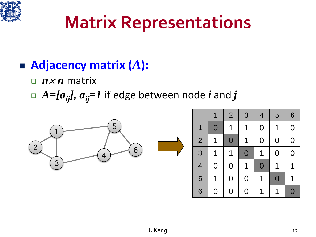

### **Matrix Representations**

### **Adjacency matrix (***A***):**

□  $n \times n$  matrix

 $\Box$  *A=[a<sub>ij</sub>], a<sub>ij</sub>=1* if edge between node *i* and *j* 

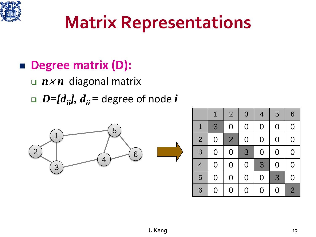

### **Matrix Representations**

### **Degree matrix (D):**

- □  $n \times n$  diagonal matrix
- $D=[d_{ii}], d_{ii}$  = degree of node *i*



|                |                | $\overline{2}$ | 3              | $\overline{4}$ | 5              | 6              |
|----------------|----------------|----------------|----------------|----------------|----------------|----------------|
| 1              | 3              | $\overline{0}$ | $\overline{0}$ | $\overline{0}$ | $\overline{0}$ | $\overline{0}$ |
| $\overline{2}$ | $\overline{0}$ | $\overline{2}$ | $\overline{0}$ | $\overline{0}$ | $\overline{0}$ | $\overline{0}$ |
| 3              | $\overline{0}$ | $\overline{0}$ | 3              | $\overline{0}$ | $\overline{0}$ | $\overline{0}$ |
| 4              | $\overline{0}$ | $\overline{0}$ | $\overline{0}$ | 3              | $\overline{0}$ | $\overline{0}$ |
| 5              | 0              | 0              | $\overline{0}$ | $\overline{0}$ | 3              | $\overline{0}$ |
| 6              | 0              | 0              | 0              | $\overline{0}$ | O              | $\overline{2}$ |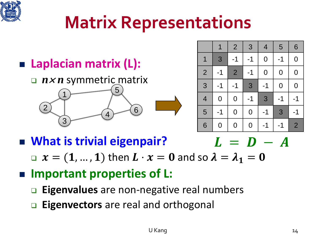

### **Matrix Representations**

### **Laplacian matrix (L):**

1

2

3

#### *n*<sup>×</sup> *n* symmetric matrix

5

 $4^{6}$ 



|                | 1              | $\overline{2}$ | 3              | $\overline{4}$ | 5              | 6              |
|----------------|----------------|----------------|----------------|----------------|----------------|----------------|
| 1              | 3              | $-1$           | $-1$           | $\overline{0}$ | $-1$           | $\mathbf 0$    |
| $\overline{2}$ | $-1$           | $\overline{2}$ | $-1$           | $\overline{0}$ | $\overline{0}$ | $\mathbf 0$    |
| 3              | $-1$           | $-1$           | 3              | $-1$           | $\overline{0}$ | $\overline{0}$ |
| $\overline{4}$ | $\overline{0}$ | $\overline{0}$ | $-1$           | 3              | $-1$           | -1             |
| 5              | $-1$           | $\overline{0}$ | $\overline{0}$ | $-1$           | 3              | -1             |
| 6              | $\overline{0}$ | $\overline{0}$ | $\overline{0}$ | -1             | -1             | $\overline{2}$ |

**What is trivial eigenpair?**

 $L = D - A$ 

 $x = (1, ..., 1)$  then  $L \cdot x = 0$  and so  $\lambda = \lambda_1 = 0$ 

#### ■ Important properties of **L**:

- **Eigenvalues** are non-negative real numbers
- **Eigenvectors** are real and orthogonal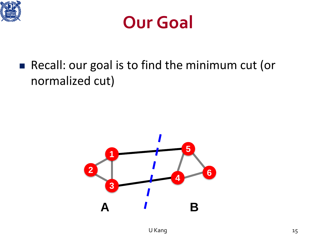



■ Recall: our goal is to find the minimum cut (or normalized cut)

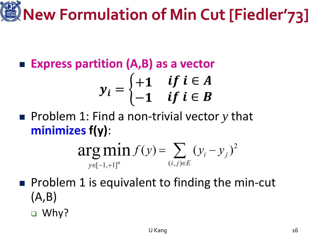# **New Formulation of Min Cut [Fiedler'73]**

**Express partition (A,B) as a vector**

$$
y_i = \begin{cases} +1 & \text{if } i \in A \\ -1 & \text{if } i \in B \end{cases}
$$

■ Problem 1: Find a non-trivial vector *y* that **minimizes f(y)**:

$$
\arg\min_{y \in [-1, +1]^n} f(y) = \sum_{(i,j) \in E} (y_i - y_j)^2
$$

- $\blacksquare$  Problem 1 is equivalent to finding the min-cut (A,B)
	- □ Why?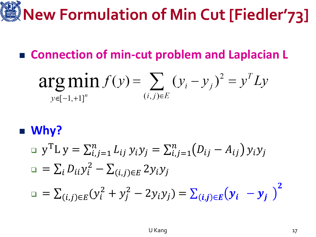# **New Formulation of Min Cut [Fiedler'73]**

#### ■ **Connection of min-cut problem and Laplacian L**

$$
\arg\min_{y \in [-1, +1]^n} f(y) = \sum_{(i,j) \in E} (y_i - y_j)^2 = y^T L y
$$

#### **Why?**

$$
\begin{aligned}\n\Box \ y^{\mathrm{T}} L \ y &= \sum_{i,j=1}^{n} L_{ij} \ y_i y_j = \sum_{i,j=1}^{n} (D_{ij} - A_{ij}) \ y_i y_j \\
\Box &= \sum_{i} D_{ii} y_i^2 - \sum_{(i,j) \in E} 2y_i y_j \\
\Box &= \sum_{(i,j) \in E} (y_i^2 + y_j^2 - 2y_i y_j) = \sum_{(i,j) \in E} (y_i - y_j)^2\n\end{aligned}
$$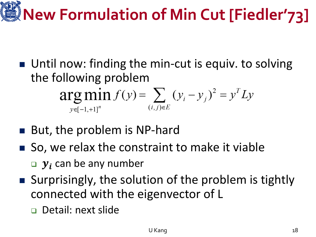# **New Formulation of Min Cut [Fiedler'73]**

- Until now: finding the min-cut is equiv. to solving the following problem  $arg min f(y) = \sum (y_i - y_j)^2 = y^T L y$  $(i, j) \in E$  $v \in [-1, +1]^n$
- But, the problem is NP-hard
- So, we relax the constraint to make it viable
	- $\boldsymbol{y}_i$  can be any number
- Surprisingly, the solution of the problem is tightly connected with the eigenvector of L
	- Detail: next slide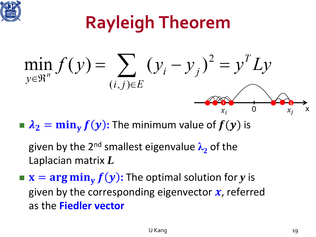

## **Rayleigh Theorem**

$$
\min_{y \in \mathbb{R}^n} f(y) = \sum_{(i,j) \in E} (y_i - y_j)^2 = y^T L y
$$

 $\lambda_2 = \min_{\mathbf{y}} f(\mathbf{y})$ : The minimum value of  $f(\mathbf{y})$  is

given by the 2nd smallest eigenvalue **λ<sup>2</sup>** of the Laplacian matrix *L*

 $\mathbf{x} = \mathbf{arg min}_{\mathbf{y}} f(\mathbf{y})$ : The optimal solution for *y* is given by the corresponding eigenvector  $x$ , referred as the **Fiedler vector**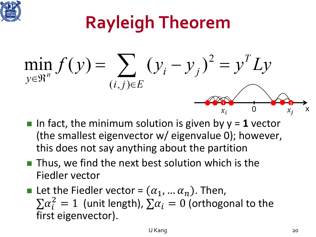

# **Rayleigh Theorem**

$$
\min_{y \in \mathbb{R}^n} f(y) = \sum_{(i,j) \in E} (y_i - y_j)^2 = y^T L y
$$

- In fact, the minimum solution is given by  $y = 1$  vector (the smallest eigenvector w/ eigenvalue 0); however, this does not say anything about the partition
- $\blacksquare$  Thus, we find the next best solution which is the Fiedler vector
- Let the Fiedler vector =  $(\alpha_1, ..., \alpha_n)$ . Then,  $\sum \alpha_i^2 = 1$  (unit length),  $\sum \alpha_i = 0$  (orthogonal to the first eigenvector).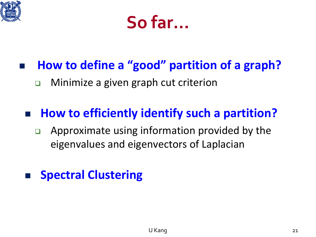



#### **How to define a "good" partition of a graph?**

□ Minimize a given graph cut criterion

#### ■ How to efficiently identify such a partition?

 $\Box$  Approximate using information provided by the eigenvalues and eigenvectors of Laplacian

#### **Spectral Clustering**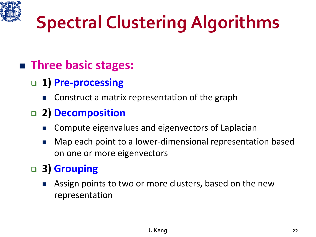

## **Spectral Clustering Algorithms**

#### **Three basic stages:**

- **1) Pre-processing**
	- Construct a matrix representation of the graph

#### **2) Decomposition**

- Compute eigenvalues and eigenvectors of Laplacian
- Map each point to a lower-dimensional representation based on one or more eigenvectors

#### **3) Grouping**

 Assign points to two or more clusters, based on the new representation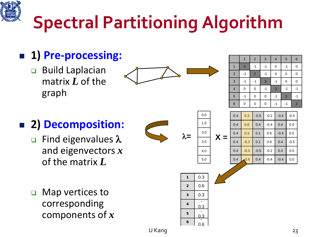

# **Spectral Partitioning Algorithm**

### **1) Pre-processing:**

□ Build Laplacian matrix *L* of the graph



|                          | 1    | $\overline{c}$ | 3  | $\overline{\mathcal{A}}$ | 5    | $6\phantom{1}6$ |
|--------------------------|------|----------------|----|--------------------------|------|-----------------|
| 1                        | 3    | $-1$           | -1 | 0                        | $-1$ | 0               |
| $\overline{\mathbf{c}}$  | $-1$ | $\overline{c}$ | -1 | 0                        | 0    | 0               |
| $\mathbf{3}$             | $-1$ | $-1$           | 3  | -1                       | 0    | 0               |
| $\overline{\mathcal{L}}$ | 0    | 0              | -1 | 3                        | -1   | -1              |
| $\overline{5}$           | -1   | 0              | 0  | -1                       | 3    | -1              |
| $6\phantom{1}6$          | 0    | $\mathbf{0}$   | 0  | -1                       | -1   | $\overline{2}$  |

#### **2) Decomposition:**

- $\Box$  Find eigenvalues  $\lambda$ and eigenvectors *x* of the matrix *L*
- □ Map vertices to corresponding components of *x*

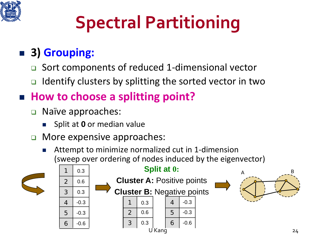

# **Spectral Partitioning**

### **3) Grouping:**

- Sort components of reduced 1-dimensional vector
- $\Box$  Identify clusters by splitting the sorted vector in two

#### ■ How to choose a splitting point?

- □ Naïve approaches:
	- Split at **0** or median value
- **D** More expensive approaches:
	- Attempt to minimize normalized cut in 1-dimension (sweep over ordering of nodes induced by the eigenvector)

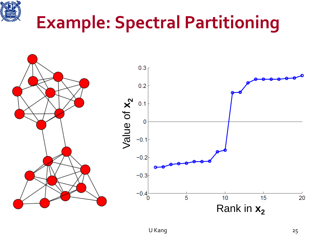

### **Example: Spectral Partitioning**

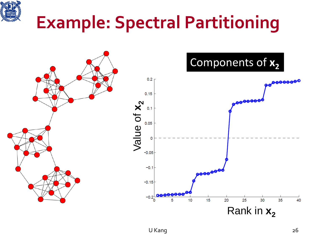

### **Example: Spectral Partitioning**

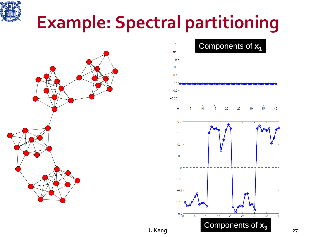

### **Example: Spectral partitioning**



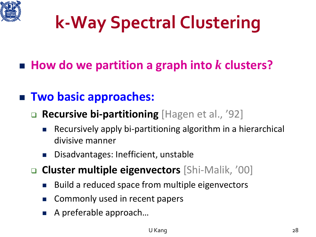

# **k-Way Spectral Clustering**

### ■ How do we partition a graph into *k* clusters?

#### **Two basic approaches:**

#### **Recursive bi-partitioning** [Hagen et al., '92]

- Recursively apply bi-partitioning algorithm in a hierarchical divisive manner
- Disadvantages: Inefficient, unstable
- **Cluster multiple eigenvectors** [Shi-Malik, '00]
	- Build a reduced space from multiple eigenvectors
	- **E** Commonly used in recent papers
	- A preferable approach…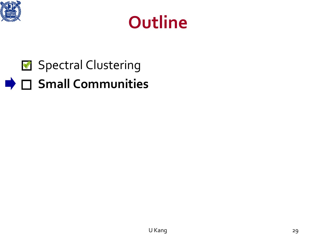



### Spectral Clustering **Small Communities**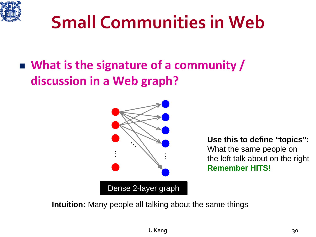

### **Small Communities in Web**

### **What is the signature of a community / discussion in a Web graph?**



**Use this to define "topics":** What the same people on the left talk about on the right **Remember HITS!**

**Intuition:** Many people all talking about the same things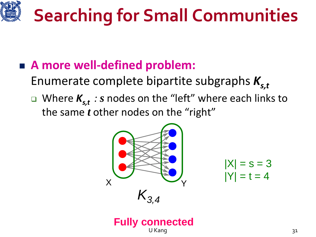

### **A more well-defined problem:**

Enumerate complete bipartite subgraphs  $K_{s,t}$ 

■ Where  $K_{s,t}$  *: s* nodes on the "left" where each links to the same *t* other nodes on the "right"



 $|X| = s = 3$ 

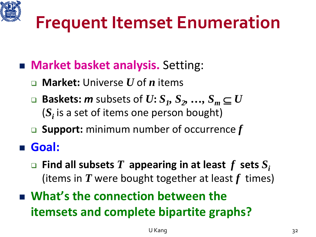

### **Frequent Itemset Enumeration**

- **Market basket analysis.** Setting:
	- **Market:** Universe *U* of *n* items
	- **Baskets:** *m* subsets of  $U$ :  $S_1$ ,  $S_2$ , ...,  $S_m$   $\subseteq U$ (*Si* is a set of items one person bought)
	- **Support:** minimum number of occurrence *f*

**Goal:**

- $\Box$  **Find all subsets** *T* **appearing in at least** *f* **sets**  $S_i$ (items in *T* were bought together at least *f* times)
- **What's the connection between the itemsets and complete bipartite graphs?**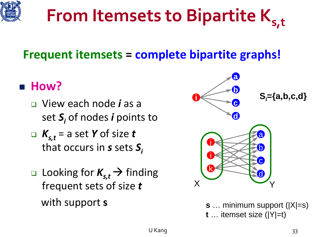

#### **From Itemsets to Bipartite Ks,t**  $\mathbf{K}$

#### **Frequent itemsets = complete bipartite graphs!**

#### **How?**

- View each node *i* as a set *Si* of nodes *i* points to
- $K_{s,t}$  = a set *Y* of size *t* that occurs in *s* sets *Si*
- **Looking for**  $K_{s,t}$  $\rightarrow$  **finding** frequent sets of size *t* with support **s**



**s** … minimum support (|X|=s) **t** … itemset size (|Y|=t)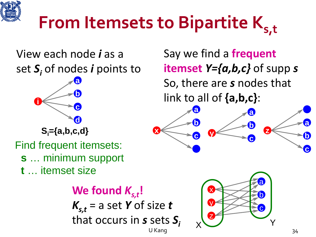

# **From Itemsets to Bipartite K<sub>s,t</sub>**

#### View each node *i* as a set *Si* of nodes *i* points to



Find frequent itemsets:

- **s** … minimum support
- **t** … itemset size

We found  $K_{s,t}$ !  $K_{s,t}$  = a set *Y* of size *t* that occurs in *s* sets  $S_i$ 

Say we find a **frequent itemset** *Y={a,b,c}* of supp *s* So, there are *s* nodes that link to all of **{a,b,c}**:



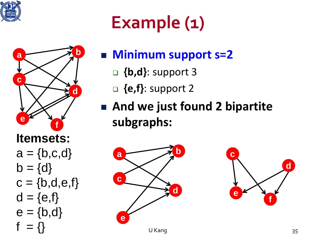

## **Example (1)**



 $e = {b,d}$ 

 $= \{\}$ 

#### **Minimum support s=2**

- **{b,d}**: support 3
- **{e,f}**: support 2
- **And we just found 2 bipartite subgraphs:**



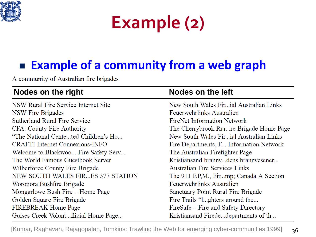

### **Example (2)**

### **Example of a community from a web graph**

A community of Australian fire brigades

| Nodes on the right                     | Nodes on the left                        |  |  |  |
|----------------------------------------|------------------------------------------|--|--|--|
| NSW Rural Fire Service Internet Site   | New South Wales Firial Australian Links  |  |  |  |
| NSW Fire Brigades                      | Feuerwehrlinks Australien                |  |  |  |
| <b>Sutherland Rural Fire Service</b>   | FireNet Information Network              |  |  |  |
| CFA: County Fire Authority             | The Cherrybrook Rur re Brigade Home Page |  |  |  |
| "The National Centeted Children's Ho   | New South Wales Firial Australian Links  |  |  |  |
| <b>CRAFTI</b> Internet Connexions-INFO | Fire Departments, F Information Network  |  |  |  |
| Welcome to Blackwoo Fire Safety Serv   | The Australian Firefighter Page          |  |  |  |
| The World Famous Guestbook Server      | Kristiansand brannydens brannyesener     |  |  |  |
| Wilberforce County Fire Brigade        | <b>Australian Fire Services Links</b>    |  |  |  |
| NEW SOUTH WALES FIRES 377 STATION      | The 911 F,P,M., Firmp; Canada A Section  |  |  |  |
| Woronora Bushfire Brigade              | Feuerwehrlinks Australien                |  |  |  |
| Mongarlowe Bush Fire – Home Page       | Sanctuary Point Rural Fire Brigade       |  |  |  |
| Golden Square Fire Brigade             | Fire Trails "1ghters around the          |  |  |  |
| FIREBREAK Home Page                    | FireSafe – Fire and Safety Directory     |  |  |  |
| Guises Creek Voluntfficial Home Page   | Kristiansand Firededepartments of th     |  |  |  |